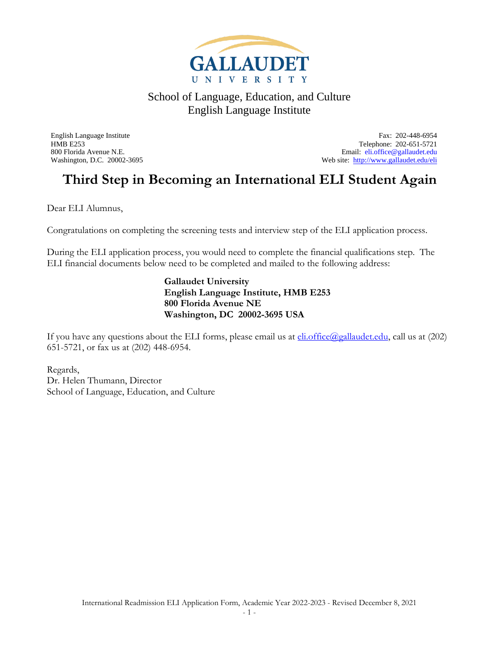

English Language Institute Fax: 202-448-6954 HMB E253 Telephone: 202-651-5721 800 Florida Avenue N.E.<br>
Web site: http://www.gallaudet.edu/eli<br>
Web site: http://www.gallaudet.edu/eli Web site:<http://www.gallaudet.edu/eli>

## **Third Step in Becoming an International ELI Student Again**

Dear ELI Alumnus,

Congratulations on completing the screening tests and interview step of the ELI application process.

During the ELI application process, you would need to complete the financial qualifications step. The ELI financial documents below need to be completed and mailed to the following address:

> **Gallaudet University English Language Institute, HMB E253 800 Florida Avenue NE Washington, DC 20002-3695 USA**

If you have any questions about the ELI forms, please email us at  $\text{eli.office}(Q_{\text{gallaudet.edu}})$ , call us at (202) 651-5721, or fax us at (202) 448-6954.

Regards, Dr. Helen Thumann, Director School of Language, Education, and Culture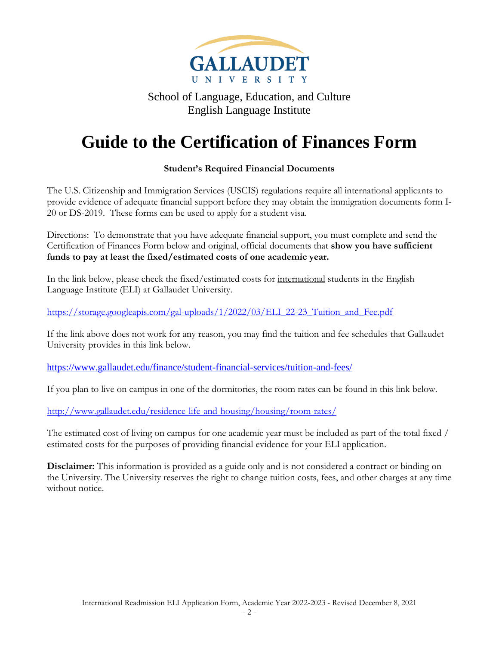

# **Guide to the Certification of Finances Form**

### **Student's Required Financial Documents**

The U.S. Citizenship and Immigration Services (USCIS) regulations require all international applicants to provide evidence of adequate financial support before they may obtain the immigration documents form I-20 or DS-2019. These forms can be used to apply for a student visa.

Directions: To demonstrate that you have adequate financial support, you must complete and send the Certification of Finances Form below and original, official documents that **show you have sufficient funds to pay at least the fixed/estimated costs of one academic year.** 

In the link below, please check the fixed/estimated costs for <u>international</u> students in the English Language Institute (ELI) at Gallaudet University.

[https://storage.googleapis.com/gal-uploads/1/2022/03/ELI\\_22-23\\_Tuition\\_and\\_Fee.pdf](https://storage.googleapis.com/gal-uploads/1/2022/03/ELI_22-23_Tuition_and_Fee.pdf)

If the link above does not work for any reason, you may find the tuition and fee schedules that Gallaudet University provides in this link below.

<https://www.gallaudet.edu/finance/student-financial-services/tuition-and-fees/>

If you plan to live on campus in one of the dormitories, the room rates can be found in this link below.

<http://www.gallaudet.edu/residence-life-and-housing/housing/room-rates/>

The estimated cost of living on campus for one academic year must be included as part of the total fixed / estimated costs for the purposes of providing financial evidence for your ELI application.

**Disclaimer:** This information is provided as a guide only and is not considered a contract or binding on the University. The University reserves the right to change tuition costs, fees, and other charges at any time without notice.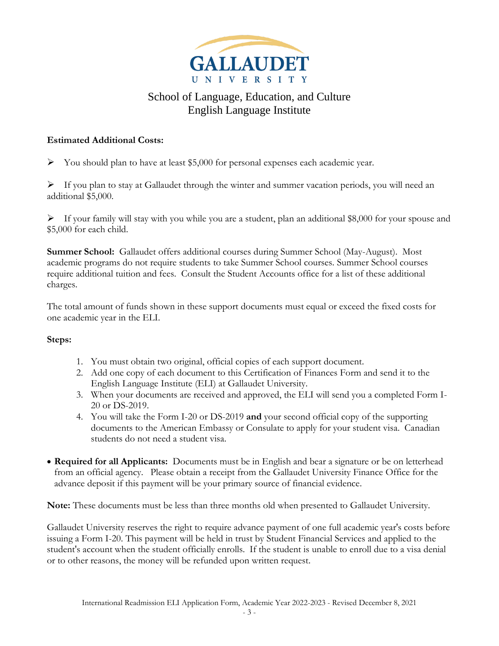

### **Estimated Additional Costs:**

 $\triangleright$  You should plan to have at least \$5,000 for personal expenses each academic year.

 $\triangleright$  If you plan to stay at Gallaudet through the winter and summer vacation periods, you will need an additional \$5,000.

 $\triangleright$  If your family will stay with you while you are a student, plan an additional \$8,000 for your spouse and \$5,000 for each child.

**Summer School:** Gallaudet offers additional courses during Summer School (May-August). Most academic programs do not require students to take Summer School courses. Summer School courses require additional tuition and fees. Consult the Student Accounts office for a list of these additional charges.

The total amount of funds shown in these support documents must equal or exceed the fixed costs for one academic year in the ELI.

### **Steps:**

- 1. You must obtain two original, official copies of each support document.
- 2. Add one copy of each document to this Certification of Finances Form and send it to the English Language Institute (ELI) at Gallaudet University.
- 3. When your documents are received and approved, the ELI will send you a completed Form I-20 or DS-2019.
- 4. You will take the Form I-20 or DS-2019 **and** your second official copy of the supporting documents to the American Embassy or Consulate to apply for your student visa. Canadian students do not need a student visa.
- **Required for all Applicants:** Documents must be in English and bear a signature or be on letterhead from an official agency. Please obtain a receipt from the Gallaudet University Finance Office for the advance deposit if this payment will be your primary source of financial evidence.

**Note:** These documents must be less than three months old when presented to Gallaudet University.

Gallaudet University reserves the right to require advance payment of one full academic year's costs before issuing a Form I-20. This payment will be held in trust by Student Financial Services and applied to the student's account when the student officially enrolls. If the student is unable to enroll due to a visa denial or to other reasons, the money will be refunded upon written request.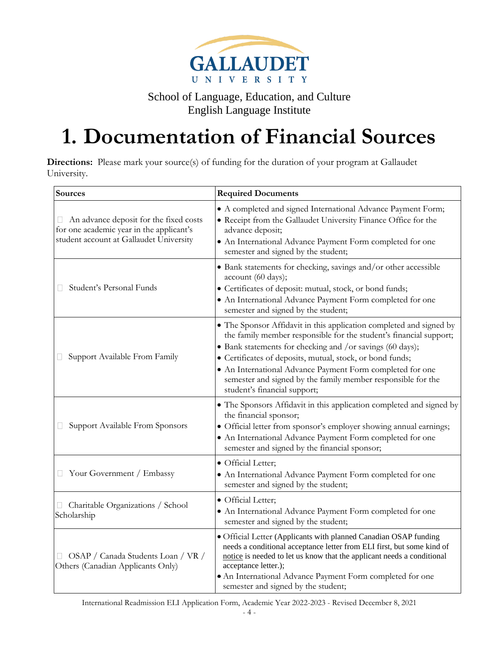

# **1. Documentation of Financial Sources**

**Directions:** Please mark your source(s) of funding for the duration of your program at Gallaudet University.

| Sources                                                                                                                       | <b>Required Documents</b>                                                                                                                                                                                                                                                                                                                                                                                                        |
|-------------------------------------------------------------------------------------------------------------------------------|----------------------------------------------------------------------------------------------------------------------------------------------------------------------------------------------------------------------------------------------------------------------------------------------------------------------------------------------------------------------------------------------------------------------------------|
| An advance deposit for the fixed costs<br>for one academic year in the applicant's<br>student account at Gallaudet University | • A completed and signed International Advance Payment Form;<br>• Receipt from the Gallaudet University Finance Office for the<br>advance deposit;<br>• An International Advance Payment Form completed for one<br>semester and signed by the student;                                                                                                                                                                           |
| Student's Personal Funds                                                                                                      | • Bank statements for checking, savings and/or other accessible<br>account (60 days);<br>• Certificates of deposit: mutual, stock, or bond funds;<br>• An International Advance Payment Form completed for one<br>semester and signed by the student;                                                                                                                                                                            |
| Support Available From Family                                                                                                 | • The Sponsor Affidavit in this application completed and signed by<br>the family member responsible for the student's financial support;<br>• Bank statements for checking and /or savings (60 days);<br>• Certificates of deposits, mutual, stock, or bond funds;<br>• An International Advance Payment Form completed for one<br>semester and signed by the family member responsible for the<br>student's financial support; |
| Support Available From Sponsors                                                                                               | • The Sponsors Affidavit in this application completed and signed by<br>the financial sponsor;<br>· Official letter from sponsor's employer showing annual earnings;<br>• An International Advance Payment Form completed for one<br>semester and signed by the financial sponsor;                                                                                                                                               |
| □ Your Government / Embassy                                                                                                   | · Official Letter;<br>• An International Advance Payment Form completed for one<br>semester and signed by the student;                                                                                                                                                                                                                                                                                                           |
| Charitable Organizations / School<br>Scholarship                                                                              | • Official Letter;<br>• An International Advance Payment Form completed for one<br>semester and signed by the student;                                                                                                                                                                                                                                                                                                           |
| OSAP / Canada Students Loan / VR /<br>Others (Canadian Applicants Only)                                                       | • Official Letter (Applicants with planned Canadian OSAP funding<br>needs a conditional acceptance letter from ELI first, but some kind of<br>notice is needed to let us know that the applicant needs a conditional<br>acceptance letter.);<br>• An International Advance Payment Form completed for one<br>semester and signed by the student;                                                                                 |

International Readmission ELI Application Form, Academic Year 2022-2023 - Revised December 8, 2021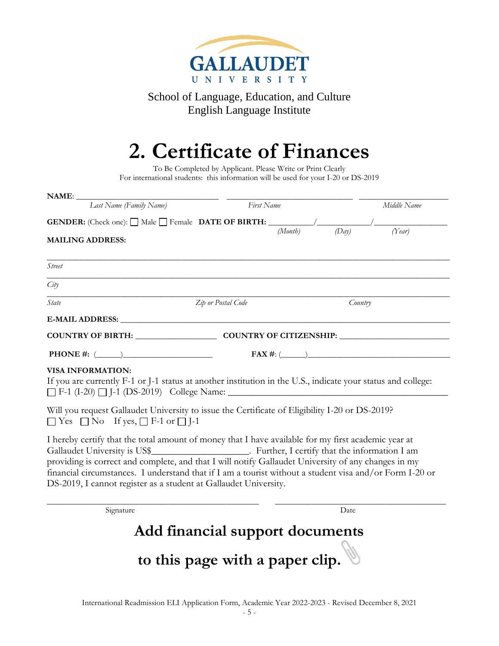

# **2. Certificate of Finances**

To Be Completed by Applicant. Please Write or Print Clearly For international students: this information will be used for your I-20 or DS-2019

| Last Name (Family Name)                                                                                                                                                                                                                                                                                                                                                                                                                                                                          | First Name         |                  | Middle Name      |
|--------------------------------------------------------------------------------------------------------------------------------------------------------------------------------------------------------------------------------------------------------------------------------------------------------------------------------------------------------------------------------------------------------------------------------------------------------------------------------------------------|--------------------|------------------|------------------|
| <b>GENDER:</b> (Check one): $\Box$ Male $\Box$ Female <b>DATE OF BIRTH:</b> $\frac{\Box}{(Month)}$ $\frac{\Box}{(Day)}$ $\frac{\Box}{(Day)}$ $\frac{\Box}{(Year)}$<br><b>MAILING ADDRESS:</b>                                                                                                                                                                                                                                                                                                    |                    | (Day)<br>(Month) |                  |
| <b>Street</b>                                                                                                                                                                                                                                                                                                                                                                                                                                                                                    |                    |                  |                  |
| City                                                                                                                                                                                                                                                                                                                                                                                                                                                                                             |                    |                  |                  |
| State                                                                                                                                                                                                                                                                                                                                                                                                                                                                                            | Zip or Postal Code |                  | Country          |
|                                                                                                                                                                                                                                                                                                                                                                                                                                                                                                  |                    |                  |                  |
| COUNTRY OF BIRTH: COUNTRY OF CITIZENSHIP:                                                                                                                                                                                                                                                                                                                                                                                                                                                        |                    |                  |                  |
| <b>PHONE</b> #: $(\_\_)$                                                                                                                                                                                                                                                                                                                                                                                                                                                                         |                    |                  | $FAX \#: (\_\_)$ |
| <b>VISA INFORMATION:</b><br>If you are currently F-1 or J-1 status at another institution in the U.S., indicate your status and college:                                                                                                                                                                                                                                                                                                                                                         |                    |                  |                  |
| Will you request Gallaudet University to issue the Certificate of Eligibility I-20 or DS-2019?<br>$\Box$ Yes $\Box$ No If yes, $\Box$ F-1 or $\Box$ J-1                                                                                                                                                                                                                                                                                                                                          |                    |                  |                  |
| I hereby certify that the total amount of money that I have available for my first academic year at<br>Gallaudet University is US\$_________________________. Further, I certify that the information I am<br>providing is correct and complete, and that I will notify Gallaudet University of any changes in my<br>financial circumstances. I understand that if I am a tourist without a student visa and/or Form I-20 or<br>DS-2019, I cannot register as a student at Gallaudet University. |                    |                  |                  |
| Signature                                                                                                                                                                                                                                                                                                                                                                                                                                                                                        |                    | Date             |                  |

**Add financial support documents** 

**to this page with a paper clip.**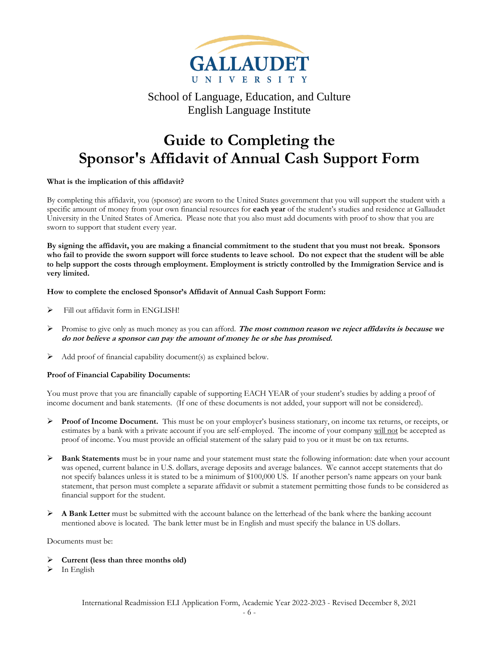

## **Guide to Completing the Sponsor's Affidavit of Annual Cash Support Form**

#### **What is the implication of this affidavit?**

By completing this affidavit, you (sponsor) are sworn to the United States government that you will support the student with a specific amount of money from your own financial resources for **each year** of the student's studies and residence at Gallaudet University in the United States of America. Please note that you also must add documents with proof to show that you are sworn to support that student every year.

**By signing the affidavit, you are making a financial commitment to the student that you must not break. Sponsors who fail to provide the sworn support will force students to leave school. Do not expect that the student will be able to help support the costs through employment. Employment is strictly controlled by the Immigration Service and is very limited.**

#### **How to complete the enclosed Sponsor's Affidavit of Annual Cash Support Form:**

- ➢ Fill out affidavit form in ENGLISH!
- ➢ Promise to give only as much money as you can afford. **The most common reason we reject affidavits is because we do not believe a sponsor can pay the amount of money he or she has promised.**
- $\triangleright$  Add proof of financial capability document(s) as explained below.

#### **Proof of Financial Capability Documents:**

You must prove that you are financially capable of supporting EACH YEAR of your student's studies by adding a proof of income document and bank statements. (If one of these documents is not added, your support will not be considered).

- ➢ **Proof of Income Document.** This must be on your employer's business stationary, on income tax returns, or receipts, or estimates by a bank with a private account if you are self-employed. The income of your company will not be accepted as proof of income. You must provide an official statement of the salary paid to you or it must be on tax returns.
- ➢ **Bank Statements** must be in your name and your statement must state the following information: date when your account was opened, current balance in U.S. dollars, average deposits and average balances. We cannot accept statements that do not specify balances unless it is stated to be a minimum of \$100,000 US. If another person's name appears on your bank statement, that person must complete a separate affidavit or submit a statement permitting those funds to be considered as financial support for the student.
- ➢ **A Bank Letter** must be submitted with the account balance on the letterhead of the bank where the banking account mentioned above is located. The bank letter must be in English and must specify the balance in US dollars.

Documents must be:

- ➢ **Current (less than three months old)**
- $\triangleright$  In English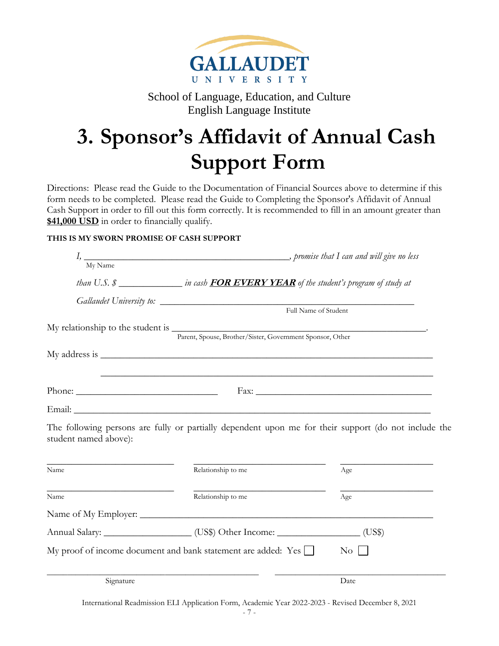

# **3. Sponsor's Affidavit of Annual Cash Support Form**

Directions: Please read the Guide to the Documentation of Financial Sources above to determine if this form needs to be completed. Please read the Guide to Completing the Sponsor's Affidavit of Annual Cash Support in order to fill out this form correctly. It is recommended to fill in an amount greater than **\$41,000 USD** in order to financially qualify.

### **THIS IS MY SWORN PROMISE OF CASH SUPPORT**

| My Name               |                                                                                           |                                                                                                      |
|-----------------------|-------------------------------------------------------------------------------------------|------------------------------------------------------------------------------------------------------|
|                       | than U.S. \$ _________________in cash FOR EVERY YEAR of the student's program of study at |                                                                                                      |
|                       |                                                                                           |                                                                                                      |
|                       |                                                                                           | Full Name of Student                                                                                 |
|                       | Parent, Spouse, Brother/Sister, Government Sponsor, Other                                 |                                                                                                      |
|                       |                                                                                           |                                                                                                      |
|                       |                                                                                           |                                                                                                      |
|                       |                                                                                           |                                                                                                      |
| student named above): |                                                                                           | The following persons are fully or partially dependent upon me for their support (do not include the |
| Name                  | Relationship to me                                                                        | Age                                                                                                  |
| Name                  | Relationship to me                                                                        | Age                                                                                                  |
|                       |                                                                                           |                                                                                                      |
|                       | Annual Salary: ____________________(US\$) Other Income: _________________(US\$)           |                                                                                                      |
|                       | My proof of income document and bank statement are added: Yes $\Box$                      | $\overline{N_{O}}$                                                                                   |
| Signature             |                                                                                           | Date                                                                                                 |

International Readmission ELI Application Form, Academic Year 2022-2023 - Revised December 8, 2021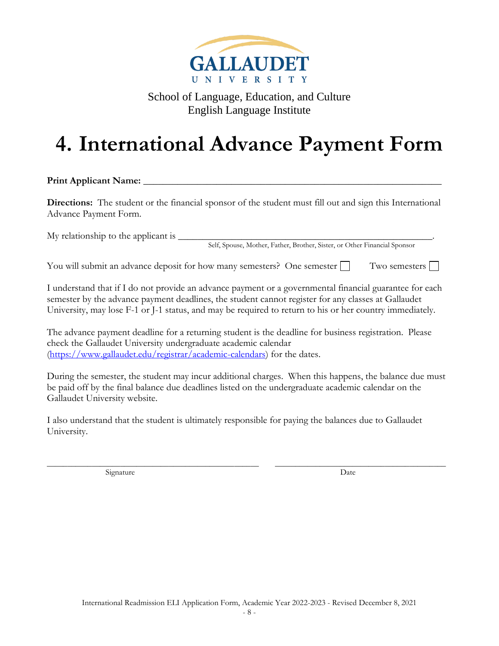

# **4. International Advance Payment Form**

Print Applicant Name:

**Directions:** The student or the financial sponsor of the student must fill out and sign this International Advance Payment Form.

My relationship to the applicant is  $\Box$ 

Self, Spouse, Mother, Father, Brother, Sister, or Other Financial Sponsor

You will submit an advance deposit for how many semesters? One semester Two semesters  $\Box$ 

I understand that if I do not provide an advance payment or a governmental financial guarantee for each semester by the advance payment deadlines, the student cannot register for any classes at Gallaudet University, may lose F-1 or J-1 status, and may be required to return to his or her country immediately.

The advance payment deadline for a returning student is the deadline for business registration. Please check the Gallaudet University undergraduate academic calendar [\(https://www.gallaudet.edu/registrar/academic-calendars\)](https://www.gallaudet.edu/registrar/academic-calendars) for the dates.

During the semester, the student may incur additional charges. When this happens, the balance due must be paid off by the final balance due deadlines listed on the undergraduate academic calendar on the Gallaudet University website.

I also understand that the student is ultimately responsible for paying the balances due to Gallaudet University.

\_\_\_\_\_\_\_\_\_\_\_\_\_\_\_\_\_\_\_\_\_\_\_\_\_\_\_\_\_\_\_\_\_\_\_\_\_\_\_\_\_\_\_\_\_\_\_\_\_\_\_\_ \_\_\_\_\_\_\_\_\_\_\_\_\_\_\_\_\_\_\_\_\_\_\_\_\_\_\_\_\_\_\_\_\_\_\_\_\_\_\_\_\_\_ Signature Date